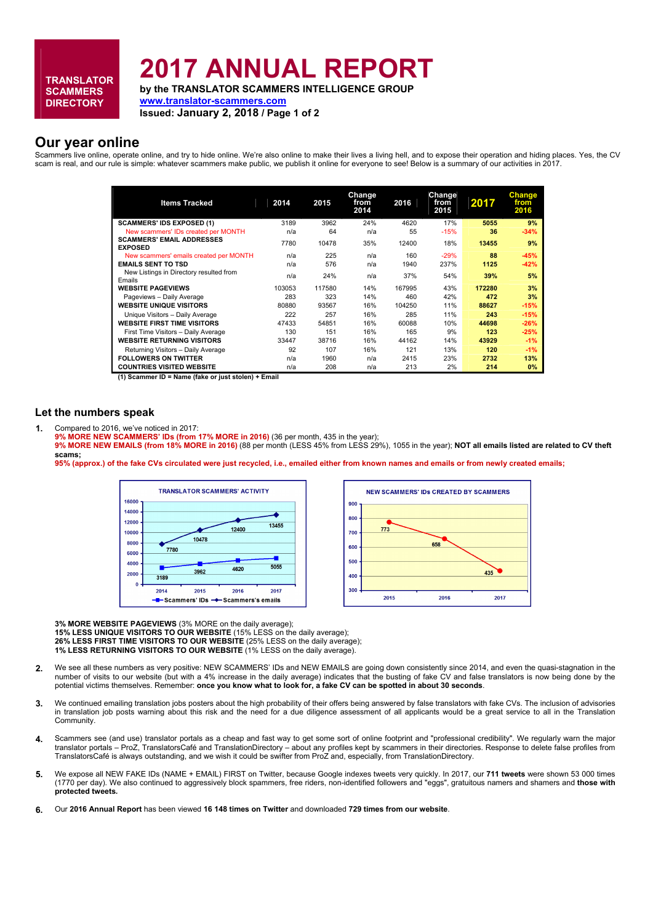# **TRANSLATOR SCAMMERS DIRECTORY**

# **2017 ANNUAL REPORT**

**by the TRANSLATOR SCAMMERS INTELLIGENCE GROUP [www.translator-scammers.com](http://www.translator-scammers.com/) Issued: January 2, 2018 / Page 1 of 2**

## **Our year online**

Scammers live online, operate online, and try to hide online. We're also online to make their lives a living hell, and to expose their operation and hiding places. Yes, the CV scam is real, and our rule is simple: whatever scammers make public, we publish it online for everyone to see! Below is a summary of our activities in 2017.

| <b>Items Tracked</b>                               | 2014   | 2015   | Change<br>from<br>2014 | 2016   | <b>Change</b><br>from<br>2015 | 2017   | <b>Change</b><br>from<br>2016 |
|----------------------------------------------------|--------|--------|------------------------|--------|-------------------------------|--------|-------------------------------|
| <b>SCAMMERS' IDS EXPOSED (1)</b>                   | 3189   | 3962   | 24%                    | 4620   | 17%                           | 5055   | 9%                            |
| New scammers' IDs created per MONTH                | n/a    | 64     | n/a                    | 55     | $-15%$                        | 36     | $-34%$                        |
| <b>SCAMMERS' EMAIL ADDRESSES</b><br><b>EXPOSED</b> | 7780   | 10478  | 35%                    | 12400  | 18%                           | 13455  | 9%                            |
| New scammers' emails created per MONTH             | n/a    | 225    | n/a                    | 160    | $-29%$                        | 88     | $-45%$                        |
| <b>EMAILS SENT TO TSD</b>                          | n/a    | 576    | n/a                    | 1940   | 237%                          | 1125   | $-42%$                        |
| New Listings in Directory resulted from<br>Emails  | n/a    | 24%    | n/a                    | 37%    | 54%                           | 39%    | 5%                            |
| <b>WEBSITE PAGEVIEWS</b>                           | 103053 | 117580 | 14%                    | 167995 | 43%                           | 172280 | 3%                            |
| Pageviews - Daily Average                          | 283    | 323    | 14%                    | 460    | 42%                           | 472    | 3%                            |
| <b>WEBSITE UNIQUE VISITORS</b>                     | 80880  | 93567  | 16%                    | 104250 | 11%                           | 88627  | $-15%$                        |
| Unique Visitors - Daily Average                    | 222    | 257    | 16%                    | 285    | 11%                           | 243    | $-15%$                        |
| <b>WEBSITE FIRST TIME VISITORS</b>                 | 47433  | 54851  | 16%                    | 60088  | 10%                           | 44698  | $-26%$                        |
| First Time Visitors - Daily Average                | 130    | 151    | 16%                    | 165    | 9%                            | 123    | $-25%$                        |
| <b>WEBSITE RETURNING VISITORS</b>                  | 33447  | 38716  | 16%                    | 44162  | 14%                           | 43929  | $-1\%$                        |
| Returning Visitors - Daily Average                 | 92     | 107    | 16%                    | 121    | 13%                           | 120    | $-1\%$                        |
| <b>FOLLOWERS ON TWITTER</b>                        | n/a    | 1960   | n/a                    | 2415   | 23%                           | 2732   | 13%                           |
| <b>COUNTRIES VISITED WEBSITE</b>                   | n/a    | 208    | n/a                    | 213    | 2%                            | 214    | $0\%$                         |

**(1) Scammer ID = Name (fake or just stolen) + Email** 

#### **Let the numbers speak**

**1.** Compared to 2016, we've noticed in 2017:

**9% MORE NEW SCAMMERS' IDs (from 17% MORE in 2016)** (36 per month, 435 in the year);

**9% MORE NEW EMAILS (from 18% MORE in 2016)** (88 per month (LESS 45% from LESS 29%), 1055 in the year); **NOT all emails listed are related to CV theft scams;**

**95% (approx.) of the fake CVs circulated were just recycled, i.e., emailed either from known names and emails or from newly created emails;** 



**3% MORE WEBSITE PAGEVIEWS** (3% MORE on the daily average); **15% LESS UNIQUE VISITORS TO OUR WEBSITE** (15% LESS on the daily average); **26% LESS FIRST TIME VISITORS TO OUR WEBSITE** (25% LESS on the daily average); **1% LESS RETURNING VISITORS TO OUR WEBSITE** (1% LESS on the daily average).

- **2.** We see all these numbers as very positive: NEW SCAMMERS' IDs and NEW EMAILS are going down consistently since 2014, and even the quasi-stagnation in the number of visits to our website (but with a 4% increase in the daily average) indicates that the busting of fake CV and false translators is now being done by the potential victims themselves. Remember: **once you know what to look for, a fake CV can be spotted in about 30 seconds**.
- **3.** We continued emailing translation jobs posters about the high probability of their offers being answered by false translators with fake CVs. The inclusion of advisories in translation job posts warning about this risk and the need for a due diligence assessment of all applicants would be a great service to all in the Translation Community.
- **4.** Scammers see (and use) translator portals as a cheap and fast way to get some sort of online footprint and "professional credibility". We regularly warn the major translator portals – ProZ, TranslatorsCafé and TranslationDirectory – about any profiles kept by scammers in their directories. Response to delete false profiles from TranslatorsCafé is always outstanding, and we wish it could be swifter from ProZ and, especially, from TranslationDirectory.
- **5.** We expose all NEW FAKE IDs (NAME + EMAIL) FIRST on Twitter, because Google indexes tweets very quickly. In 2017, our **711 tweets** were shown 53 000 times (1770 per day). We also continued to aggressively block spammers, free riders, non-identified followers and "eggs", gratuitous namers and shamers and **those with protected tweets***.*
- **6.** Our **2016 Annual Report** has been viewed **16 148 times on Twitter** and downloaded **729 times from our website**.